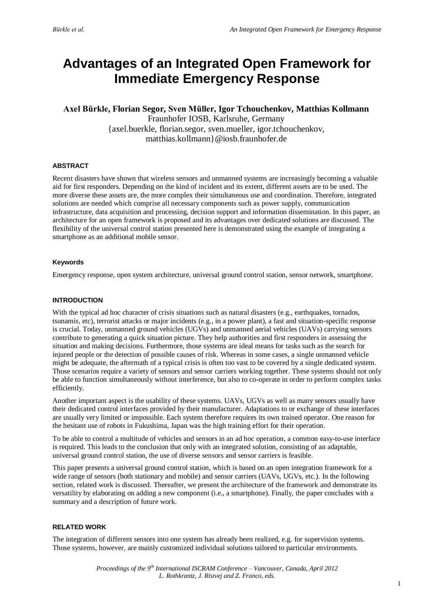# **Advantages of an Integrated Open Framework for Immediate Emergency Response**

**Axel Bürkle, Florian Segor, Sven Müller, Igor Tchouchenkov, Matthias Kollmann** Fraunhofer IOSB, Karlsruhe, Germany {axel.buerkle, florian.segor, sven.mueller, igor.tchouchenkov, matthias.kollmann}@iosb.fraunhofer.de

### **ABSTRACT**

Recent disasters have shown that wireless sensors and unmanned systems are increasingly becoming a valuable aid for first responders. Depending on the kind of incident and its extent, different assets are to be used. The more diverse these assets are, the more complex their simultaneous use and coordination. Therefore, integrated solutions are needed which comprise all necessary components such as power supply, communication infrastructure, data acquisition and processing, decision support and information dissemination. In this paper, an architecture for an open framework is proposed and its advantages over dedicated solutions are discussed. The flexibility of the universal control station presented here is demonstrated using the example of integrating a smartphone as an additional mobile sensor.

### **Keywords**

Emergency response, open system architecture, universal ground control station, sensor network, smartphone.

### **INTRODUCTION**

With the typical ad hoc character of crisis situations such as natural disasters (e.g., earthquakes, tornados, tsunamis, etc), terrorist attacks or major incidents (e.g., in a power plant), a fast and situation-specific response is crucial. Today, unmanned ground vehicles (UGVs) and unmanned aerial vehicles (UAVs) carrying sensors contribute to generating a quick situation picture. They help authorities and first responders in assessing the situation and making decisions. Furthermore, those systems are ideal means for tasks such as the search for injured people or the detection of possible causes of risk. Whereas in some cases, a single unmanned vehicle might be adequate, the aftermath of a typical crisis is often too vast to be covered by a single dedicated system. Those scenarios require a variety of sensors and sensor carriers working together. These systems should not only be able to function simultaneously without interference, but also to co-operate in order to perform complex tasks efficiently.

Another important aspect is the usability of these systems. UAVs, UGVs as well as many sensors usually have their dedicated control interfaces provided by their manufacturer. Adaptations to or exchange of these interfaces are usually very limited or impossible. Each system therefore requires its own trained operator. One reason for the hesitant use of robots in Fukushima, Japan was the high training effort for their operation.

To be able to control a multitude of vehicles and sensors in an ad hoc operation, a common easy-to-use interface is required. This leads to the conclusion that only with an integrated solution, consisting of an adaptable, universal ground control station, the use of diverse sensors and sensor carriers is feasible.

This paper presents a universal ground control station, which is based on an open integration framework for a wide range of sensors (both stationary and mobile) and sensor carriers (UAVs, UGVs, etc.). In the following section, related work is discussed. Thereafter, we present the architecture of the framework and demonstrate its versatility by elaborating on adding a new component (i.e., a smartphone). Finally, the paper concludes with a summary and a description of future work.

#### **RELATED WORK**

The integration of different sensors into one system has already been realized, e.g. for supervision systems. Those systems, however, are mainly customized individual solutions tailored to particular environments.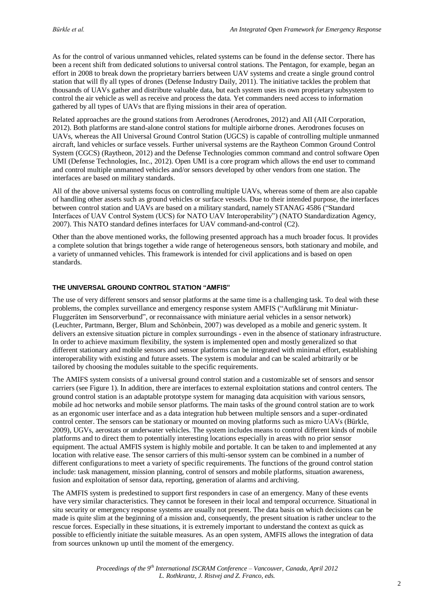As for the control of various unmanned vehicles, related systems can be found in the defense sector. There has been a recent shift from dedicated solutions to universal control stations. The Pentagon, for example, began an effort in 2008 to break down the proprietary barriers between UAV systems and create a single ground control station that will fly all types of drones (Defense Industry Daily, 2011). The initiative tackles the problem that thousands of UAVs gather and distribute valuable data, but each system uses its own proprietary subsystem to control the air vehicle as well as receive and process the data. Yet commanders need access to information gathered by all types of UAVs that are flying missions in their area of operation.

Related approaches are the ground stations from Aerodrones (Aerodrones, 2012) and AII (AII Corporation, 2012). Both platforms are stand-alone control stations for multiple airborne drones. Aerodrones focuses on UAVs, whereas the AII Universal Ground Control Station (UGCS) is capable of controlling multiple unmanned aircraft, land vehicles or surface vessels. Further universal systems are the Raytheon Common Ground Control System (CGCS) (Raytheon, 2012) and the Defense Technologies common command and control software Open UMI (Defense Technologies, Inc., 2012). Open UMI is a core program which allows the end user to command and control multiple unmanned vehicles and/or sensors developed by other vendors from one station. The interfaces are based on military standards.

All of the above universal systems focus on controlling multiple UAVs, whereas some of them are also capable of handling other assets such as ground vehicles or surface vessels. Due to their intended purpose, the interfaces between control station and UAVs are based on a military standard, namely STANAG 4586 ("Standard Interfaces of UAV Control System (UCS) for NATO UAV Interoperability") (NATO Standardization Agency, 2007). This NATO standard defines interfaces for UAV command-and-control (C2).

Other than the above mentioned works, the following presented approach has a much broader focus. It provides a complete solution that brings together a wide range of heterogeneous sensors, both stationary and mobile, and a variety of unmanned vehicles. This framework is intended for civil applications and is based on open standards.

#### **THE UNIVERSAL GROUND CONTROL STATION "AMFIS"**

The use of very different sensors and sensor platforms at the same time is a challenging task. To deal with these problems, the complex surveillance and emergency response system AMFIS ("Aufklärung mit Miniatur-Fluggeräten im Sensorverbund", or reconnaissance with miniature aerial vehicles in a sensor network) (Leuchter, Partmann, Berger, Blum and Schönbein, 2007) was developed as a mobile and generic system. It delivers an extensive situation picture in complex surroundings - even in the absence of stationary infrastructure. In order to achieve maximum flexibility, the system is implemented open and mostly generalized so that different stationary and mobile sensors and sensor platforms can be integrated with minimal effort, establishing interoperability with existing and future assets. The system is modular and can be scaled arbitrarily or be tailored by choosing the modules suitable to the specific requirements.

The AMIFS system consists of a universal ground control station and a customizable set of sensors and sensor carriers (see Figure 1). In addition, there are interfaces to external exploitation stations and control centers. The ground control station is an adaptable prototype system for managing data acquisition with various sensors, mobile ad hoc networks and mobile sensor platforms. The main tasks of the ground control station are to work as an ergonomic user interface and as a data integration hub between multiple sensors and a super-ordinated control center. The sensors can be stationary or mounted on moving platforms such as micro UAVs (Bürkle, 2009), UGVs, aerostats or underwater vehicles. The system includes means to control different kinds of mobile platforms and to direct them to potentially interesting locations especially in areas with no prior sensor equipment. The actual AMFIS system is highly mobile and portable. It can be taken to and implemented at any location with relative ease. The sensor carriers of this multi-sensor system can be combined in a number of different configurations to meet a variety of specific requirements. The functions of the ground control station include: task management, mission planning, control of sensors and mobile platforms, situation awareness, fusion and exploitation of sensor data, reporting, generation of alarms and archiving.

The AMFIS system is predestined to support first responders in case of an emergency. Many of these events have very similar characteristics. They cannot be foreseen in their local and temporal occurrence. Situational in situ security or emergency response systems are usually not present. The data basis on which decisions can be made is quite slim at the beginning of a mission and, consequently, the present situation is rather unclear to the rescue forces. Especially in these situations, it is extremely important to understand the context as quick as possible to efficiently initiate the suitable measures. As an open system, AMFIS allows the integration of data from sources unknown up until the moment of the emergency.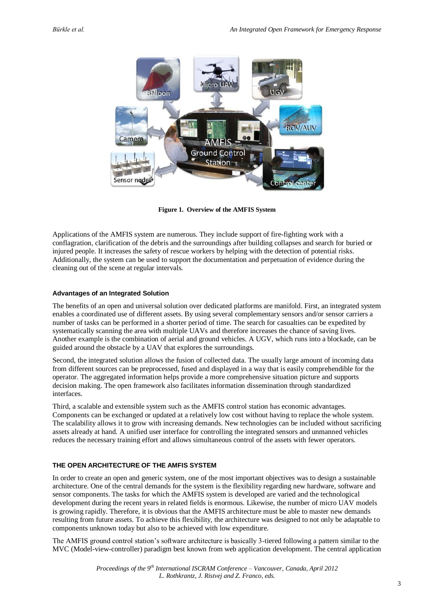

**Figure 1. Overview of the AMFIS System**

Applications of the AMFIS system are numerous. They include support of fire-fighting work with a conflagration, clarification of the debris and the surroundings after building collapses and search for buried or injured people. It increases the safety of rescue workers by helping with the detection of potential risks. Additionally, the system can be used to support the documentation and perpetuation of evidence during the cleaning out of the scene at regular intervals.

# **Advantages of an Integrated Solution**

The benefits of an open and universal solution over dedicated platforms are manifold. First, an integrated system enables a coordinated use of different assets. By using several complementary sensors and/or sensor carriers a number of tasks can be performed in a shorter period of time. The search for casualties can be expedited by systematically scanning the area with multiple UAVs and therefore increases the chance of saving lives. Another example is the combination of aerial and ground vehicles. A UGV, which runs into a blockade, can be guided around the obstacle by a UAV that explores the surroundings.

Second, the integrated solution allows the fusion of collected data. The usually large amount of incoming data from different sources can be preprocessed, fused and displayed in a way that is easily comprehendible for the operator. The aggregated information helps provide a more comprehensive situation picture and supports decision making. The open framework also facilitates information dissemination through standardized interfaces.

Third, a scalable and extensible system such as the AMFIS control station has economic advantages. Components can be exchanged or updated at a relatively low cost without having to replace the whole system. The scalability allows it to grow with increasing demands. New technologies can be included without sacrificing assets already at hand. A unified user interface for controlling the integrated sensors and unmanned vehicles reduces the necessary training effort and allows simultaneous control of the assets with fewer operators.

# **THE OPEN ARCHITECTURE OF THE AMFIS SYSTEM**

In order to create an open and generic system, one of the most important objectives was to design a sustainable architecture. One of the central demands for the system is the flexibility regarding new hardware, software and sensor components. The tasks for which the AMFIS system is developed are varied and the technological development during the recent years in related fields is enormous. Likewise, the number of micro UAV models is growing rapidly. Therefore, it is obvious that the AMFIS architecture must be able to master new demands resulting from future assets. To achieve this flexibility, the architecture was designed to not only be adaptable to components unknown today but also to be achieved with low expenditure.

The AMFIS ground control station's software architecture is basically 3-tiered following a pattern similar to the MVC (Model-view-controller) paradigm best known from web application development. The central application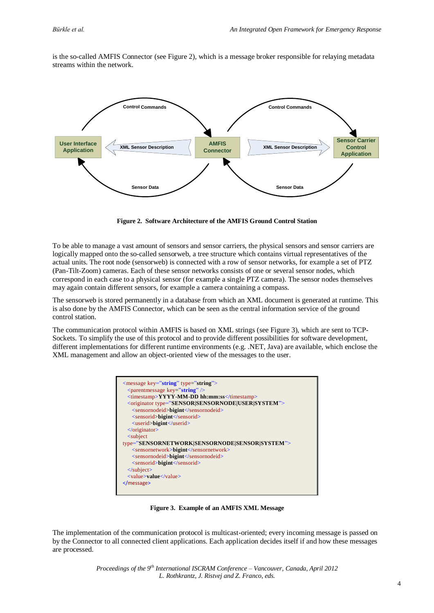is the so-called AMFIS Connector (see Figure 2), which is a message broker responsible for relaying metadata streams within the network.



**Figure 2. Software Architecture of the AMFIS Ground Control Station**

To be able to manage a vast amount of sensors and sensor carriers, the physical sensors and sensor carriers are logically mapped onto the so-called sensorweb, a tree structure which contains virtual representatives of the actual units. The root node (sensorweb) is connected with a row of sensor networks, for example a set of PTZ (Pan-Tilt-Zoom) cameras. Each of these sensor networks consists of one or several sensor nodes, which correspond in each case to a physical sensor (for example a single PTZ camera). The sensor nodes themselves may again contain different sensors, for example a camera containing a compass.

The sensorweb is stored permanently in a database from which an XML document is generated at runtime. This is also done by the AMFIS Connector, which can be seen as the central information service of the ground control station.

The communication protocol within AMFIS is based on XML strings (see Figure 3), which are sent to TCP-Sockets. To simplify the use of this protocol and to provide different possibilities for software development, different implementations for different runtime environments (e.g. .NET, Java) are available, which enclose the XML management and allow an object-oriented view of the messages to the user.



**Figure 3. Example of an AMFIS XML Message**

The implementation of the communication protocol is multicast-oriented; every incoming message is passed on by the Connector to all connected client applications. Each application decides itself if and how these messages are processed.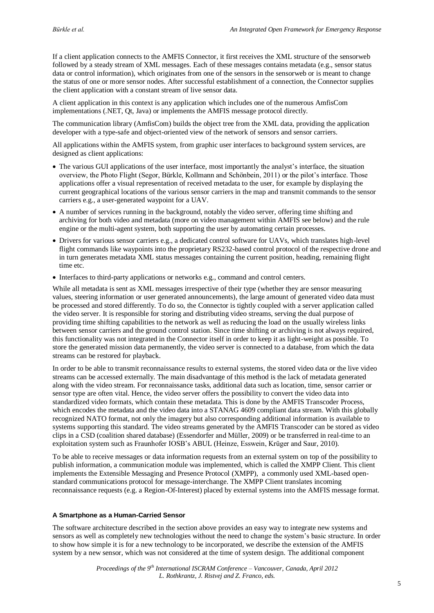If a client application connects to the AMFIS Connector, it first receives the XML structure of the sensorweb followed by a steady stream of XML messages. Each of these messages contains metadata (e.g., sensor status data or control information), which originates from one of the sensors in the sensorweb or is meant to change the status of one or more sensor nodes. After successful establishment of a connection, the Connector supplies the client application with a constant stream of live sensor data.

A client application in this context is any application which includes one of the numerous AmfisCom implementations (.NET, Qt, Java) or implements the AMFIS message protocol directly.

The communication library (AmfisCom) builds the object tree from the XML data, providing the application developer with a type-safe and object-oriented view of the network of sensors and sensor carriers.

All applications within the AMFIS system, from graphic user interfaces to background system services, are designed as client applications:

- The various GUI applications of the user interface, most importantly the analyst's interface, the situation overview, the Photo Flight (Segor, Bürkle, Kollmann and Schönbein, 2011) or the pilot's interface. Those applications offer a visual representation of received metadata to the user, for example by displaying the current geographical locations of the various sensor carriers in the map and transmit commands to the sensor carriers e.g., a user-generated waypoint for a UAV.
- A number of services running in the background, notably the video server, offering time shifting and archiving for both video and metadata (more on video management within AMFIS see below) and the rule engine or the multi-agent system, both supporting the user by automating certain processes.
- Drivers for various sensor carriers e.g., a dedicated control software for UAVs, which translates high-level flight commands like waypoints into the proprietary RS232-based control protocol of the respective drone and in turn generates metadata XML status messages containing the current position, heading, remaining flight time etc.
- Interfaces to third-party applications or networks e.g., command and control centers.

While all metadata is sent as XML messages irrespective of their type (whether they are sensor measuring values, steering information or user generated announcements), the large amount of generated video data must be processed and stored differently. To do so, the Connector is tightly coupled with a server application called the video server. It is responsible for storing and distributing video streams, serving the dual purpose of providing time shifting capabilities to the network as well as reducing the load on the usually wireless links between sensor carriers and the ground control station. Since time shifting or archiving is not always required, this functionality was not integrated in the Connector itself in order to keep it as light-weight as possible. To store the generated mission data permanently, the video server is connected to a database, from which the data streams can be restored for playback.

In order to be able to transmit reconnaissance results to external systems, the stored video data or the live video streams can be accessed externally. The main disadvantage of this method is the lack of metadata generated along with the video stream. For reconnaissance tasks, additional data such as location, time, sensor carrier or sensor type are often vital. Hence, the video server offers the possibility to convert the video data into standardized video formats, which contain these metadata. This is done by the AMFIS Transcoder Process, which encodes the metadata and the video data into a STANAG 4609 compliant data stream. With this globally recognized NATO format, not only the imagery but also corresponding additional information is available to systems supporting this standard. The video streams generated by the AMFIS Transcoder can be stored as video clips in a CSD (coalition shared database) (Essendorfer and Müller, 2009) or be transferred in real-time to an exploitation system such as Fraunhofer IOSB's ABUL (Heinze, Esswein, Krüger and Saur, 2010).

To be able to receive messages or data information requests from an external system on top of the possibility to publish information, a communication module was implemented, which is called the XMPP Client. This client implements the Extensible Messaging and Presence Protocol (XMPP), a commonly used XML-based openstandard communications protocol for message-interchange. The XMPP Client translates incoming reconnaissance requests (e.g. a Region-Of-Interest) placed by external systems into the AMFIS message format.

#### **A Smartphone as a Human-Carried Sensor**

The software architecture described in the section above provides an easy way to integrate new systems and sensors as well as completely new technologies without the need to change the system's basic structure. In order to show how simple it is for a new technology to be incorporated, we describe the extension of the AMFIS system by a new sensor, which was not considered at the time of system design. The additional component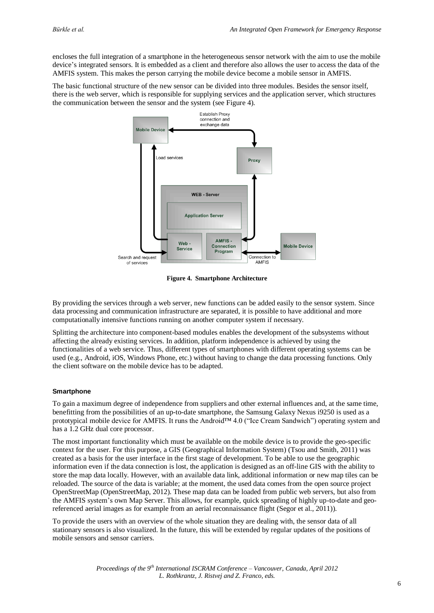encloses the full integration of a smartphone in the heterogeneous sensor network with the aim to use the mobile device's integrated sensors. It is embedded as a client and therefore also allows the user to access the data of the AMFIS system. This makes the person carrying the mobile device become a mobile sensor in AMFIS.

The basic functional structure of the new sensor can be divided into three modules. Besides the sensor itself, there is the web server, which is responsible for supplying services and the application server, which structures the communication between the sensor and the system (see [Figure 4\)](#page-5-0).



**Figure 4. Smartphone Architecture**

<span id="page-5-0"></span>By providing the services through a web server, new functions can be added easily to the sensor system. Since data processing and communication infrastructure are separated, it is possible to have additional and more computationally intensive functions running on another computer system if necessary.

Splitting the architecture into component-based modules enables the development of the subsystems without affecting the already existing services. In addition, platform independence is achieved by using the functionalities of a web service. Thus, different types of smartphones with different operating systems can be used (e.g., Android, iOS, Windows Phone, etc.) without having to change the data processing functions. Only the client software on the mobile device has to be adapted.

#### **Smartphone**

To gain a maximum degree of independence from suppliers and other external influences and, at the same time, benefitting from the possibilities of an up-to-date smartphone, the Samsung Galaxy Nexus i9250 is used as a prototypical mobile device for AMFIS. It runs the Android™ 4.0 ("Ice Cream Sandwich") operating system and has a 1.2 GHz dual core processor.

The most important functionality which must be available on the mobile device is to provide the geo-specific context for the user. For this purpose, a GIS (Geographical Information System) (Tsou and Smith, 2011) was created as a basis for the user interface in the first stage of development. To be able to use the geographic information even if the data connection is lost, the application is designed as an off-line GIS with the ability to store the map data locally. However, with an available data link, additional information or new map tiles can be reloaded. The source of the data is variable; at the moment, the used data comes from the open source project OpenStreetMap (OpenStreetMap, 2012). These map data can be loaded from public web servers, but also from the AMFIS system's own Map Server. This allows, for example, quick spreading of highly up-to-date and georeferenced aerial images as for example from an aerial reconnaissance flight (Segor et al., 2011)).

To provide the users with an overview of the whole situation they are dealing with, the sensor data of all stationary sensors is also visualized. In the future, this will be extended by regular updates of the positions of mobile sensors and sensor carriers.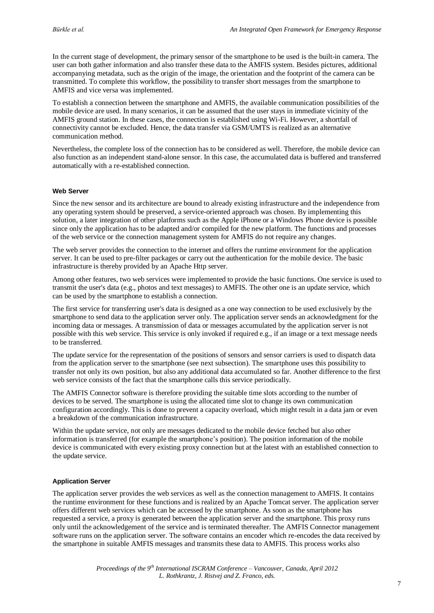In the current stage of development, the primary sensor of the smartphone to be used is the built-in camera. The user can both gather information and also transfer these data to the AMFIS system. Besides pictures, additional accompanying metadata, such as the origin of the image, the orientation and the footprint of the camera can be transmitted. To complete this workflow, the possibility to transfer short messages from the smartphone to AMFIS and vice versa was implemented.

To establish a connection between the smartphone and AMFIS, the available communication possibilities of the mobile device are used. In many scenarios, it can be assumed that the user stays in immediate vicinity of the AMFIS ground station. In these cases, the connection is established using Wi-Fi. However, a shortfall of connectivity cannot be excluded. Hence, the data transfer via GSM/UMTS is realized as an alternative communication method.

Nevertheless, the complete loss of the connection has to be considered as well. Therefore, the mobile device can also function as an independent stand-alone sensor. In this case, the accumulated data is buffered and transferred automatically with a re-established connection.

#### **Web Server**

Since the new sensor and its architecture are bound to already existing infrastructure and the independence from any operating system should be preserved, a service-oriented approach was chosen. By implementing this solution, a later integration of other platforms such as the Apple iPhone or a Windows Phone device is possible since only the application has to be adapted and/or compiled for the new platform. The functions and processes of the web service or the connection management system for AMFIS do not require any changes.

The web server provides the connection to the internet and offers the runtime environment for the application server. It can be used to pre-filter packages or carry out the authentication for the mobile device. The basic infrastructure is thereby provided by an Apache Http server.

Among other features, two web services were implemented to provide the basic functions. One service is used to transmit the user's data (e.g., photos and text messages) to AMFIS. The other one is an update service, which can be used by the smartphone to establish a connection.

The first service for transferring user's data is designed as a one way connection to be used exclusively by the smartphone to send data to the application server only. The application server sends an acknowledgment for the incoming data or messages. A transmission of data or messages accumulated by the application server is not possible with this web service. This service is only invoked if required e.g., if an image or a text message needs to be transferred.

The update service for the representation of the positions of sensors and sensor carriers is used to dispatch data from the application server to the smartphone (see next subsection). The smartphone uses this possibility to transfer not only its own position, but also any additional data accumulated so far. Another difference to the first web service consists of the fact that the smartphone calls this service periodically.

The AMFIS Connector software is therefore providing the suitable time slots according to the number of devices to be served. The smartphone is using the allocated time slot to change its own communication configuration accordingly. This is done to prevent a capacity overload, which might result in a data jam or even a breakdown of the communication infrastructure.

Within the update service, not only are messages dedicated to the mobile device fetched but also other information is transferred (for example the smartphone's position). The position information of the mobile device is communicated with every existing proxy connection but at the latest with an established connection to the update service.

#### **Application Server**

The application server provides the web services as well as the connection management to AMFIS. It contains the runtime environment for these functions and is realized by an Apache Tomcat server. The application server offers different web services which can be accessed by the smartphone. As soon as the smartphone has requested a service, a proxy is generated between the application server and the smartphone. This proxy runs only until the acknowledgement of the service and is terminated thereafter. The AMFIS Connector management software runs on the application server. The software contains an encoder which re-encodes the data received by the smartphone in suitable AMFIS messages and transmits these data to AMFIS. This process works also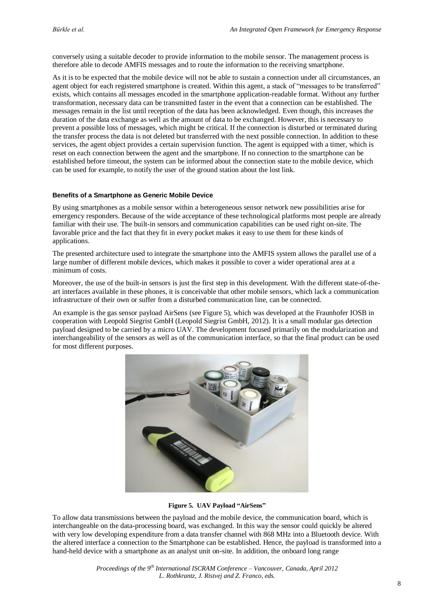conversely using a suitable decoder to provide information to the mobile sensor. The management process is therefore able to decode AMFIS messages and to route the information to the receiving smartphone.

As it is to be expected that the mobile device will not be able to sustain a connection under all circumstances, an agent object for each registered smartphone is created. Within this agent, a stack of "messages to be transferred" exists, which contains all messages encoded in the smartphone application-readable format. Without any further transformation, necessary data can be transmitted faster in the event that a connection can be established. The messages remain in the list until reception of the data has been acknowledged. Even though, this increases the duration of the data exchange as well as the amount of data to be exchanged. However, this is necessary to prevent a possible loss of messages, which might be critical. If the connection is disturbed or terminated during the transfer process the data is not deleted but transferred with the next possible connection. In addition to these services, the agent object provides a certain supervision function. The agent is equipped with a timer, which is reset on each connection between the agent and the smartphone. If no connection to the smartphone can be established before timeout, the system can be informed about the connection state to the mobile device, which can be used for example, to notify the user of the ground station about the lost link.

#### **Benefits of a Smartphone as Generic Mobile Device**

By using smartphones as a mobile sensor within a heterogeneous sensor network new possibilities arise for emergency responders. Because of the wide acceptance of these technological platforms most people are already familiar with their use. The built-in sensors and communication capabilities can be used right on-site. The favorable price and the fact that they fit in every pocket makes it easy to use them for these kinds of applications.

The presented architecture used to integrate the smartphone into the AMFIS system allows the parallel use of a large number of different mobile devices, which makes it possible to cover a wider operational area at a minimum of costs.

Moreover, the use of the built-in sensors is just the first step in this development. With the different state-of-theart interfaces available in these phones, it is conceivable that other mobile sensors, which lack a communication infrastructure of their own or suffer from a disturbed communication line, can be connected.

An example is the gas sensor payload AirSens (see Figure 5), which was developed at the Fraunhofer IOSB in cooperation with Leopold Siegrist GmbH (Leopold Siegrist GmbH, 2012). It is a small modular gas detection payload designed to be carried by a micro UAV. The development focused primarily on the modularization and interchangeability of the sensors as well as of the communication interface, so that the final product can be used for most different purposes.



#### **Figure 5. UAV Payload "AirSens"**

To allow data transmissions between the payload and the mobile device, the communication board, which is interchangeable on the data-processing board, was exchanged. In this way the sensor could quickly be altered with very low developing expenditure from a data transfer channel with 868 MHz into a Bluetooth device. With the altered interface a connection to the Smartphone can be established. Hence, the payload is transformed into a hand-held device with a smartphone as an analyst unit on-site. In addition, the onboard long range

> *Proceedings of the 9th International ISCRAM Conference – Vancouver, Canada, April 2012 L. Rothkrantz, J. Ristvej and Z. Franco, eds.*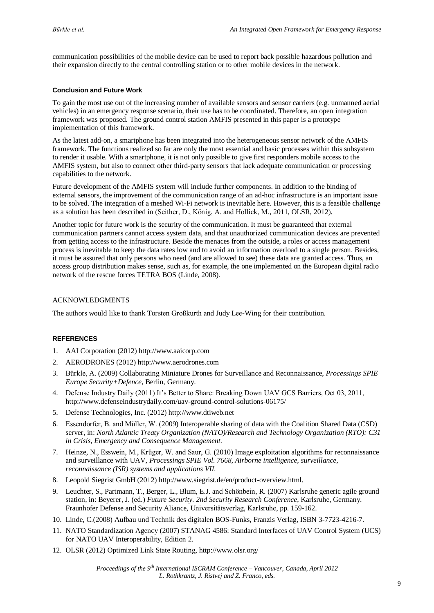communication possibilities of the mobile device can be used to report back possible hazardous pollution and their expansion directly to the central controlling station or to other mobile devices in the network.

#### **Conclusion and Future Work**

To gain the most use out of the increasing number of available sensors and sensor carriers (e.g. unmanned aerial vehicles) in an emergency response scenario, their use has to be coordinated. Therefore, an open integration framework was proposed. The ground control station AMFIS presented in this paper is a prototype implementation of this framework.

As the latest add-on, a smartphone has been integrated into the heterogeneous sensor network of the AMFIS framework. The functions realized so far are only the most essential and basic processes within this subsystem to render it usable. With a smartphone, it is not only possible to give first responders mobile access to the AMFIS system, but also to connect other third-party sensors that lack adequate communication or processing capabilities to the network.

Future development of the AMFIS system will include further components. In addition to the binding of external sensors, the improvement of the communication range of an ad-hoc infrastructure is an important issue to be solved. The integration of a meshed Wi-Fi network is inevitable here. However, this is a feasible challenge as a solution has been described in (Seither, D., König, A. and Hollick, M., 2011, OLSR, 2012).

Another topic for future work is the security of the communication. It must be guaranteed that external communication partners cannot access system data, and that unauthorized communication devices are prevented from getting access to the infrastructure. Beside the menaces from the outside, a roles or access management process is inevitable to keep the data rates low and to avoid an information overload to a single person. Besides, it must be assured that only persons who need (and are allowed to see) these data are granted access. Thus, an access group distribution makes sense, such as, for example, the one implemented on the European digital radio network of the rescue forces TETRA BOS (Linde, 2008).

### ACKNOWLEDGMENTS

The authors would like to thank Torsten Großkurth and Judy Lee-Wing for their contribution.

# **REFERENCES**

- 1. AAI Corporation (2012) http://www.aaicorp.com
- 2. AERODRONES (2012) http://www.aerodrones.com
- 3. Bürkle, A. (2009) Collaborating Miniature Drones for Surveillance and Reconnaissance, *Processings SPIE Europe Security+Defence*, Berlin, Germany.
- 4. Defense Industry Daily (2011) It's Better to Share: Breaking Down UAV GCS Barriers, Oct 03, 2011, http://www.defenseindustrydaily.com/uav-ground-control-solutions-06175/
- 5. Defense Technologies, Inc. (2012) http://www.dtiweb.net
- 6. Essendorfer, B. and Müller, W. (2009) Interoperable sharing of data with the Coalition Shared Data (CSD) server, in: *North Atlantic Treaty Organization (NATO)/Research and Technology Organization (RTO): C31 in Crisis, Emergency and Consequence Management*.
- 7. Heinze, N., Esswein, M., Krüger, W. and Saur, G. (2010) Image exploitation algorithms for reconnaissance and surveillance with UAV, *Processings SPIE Vol. 7668, Airborne intelligence, surveillance, reconnaissance (ISR) systems and applications VII*.
- 8. Leopold Siegrist GmbH (2012) http://www.siegrist.de/en/product-overview.html.
- 9. Leuchter, S., Partmann, T., Berger, L., Blum, E.J. and Schönbein, R. (2007) Karlsruhe generic agile ground station, in: Beyerer, J. (ed.) *Future Security. 2nd Security Research Conference*, Karlsruhe, Germany. Fraunhofer Defense and Security Aliance, Universitätsverlag, Karlsruhe, pp. 159-162.
- 10. Linde, C.(2008) Aufbau und Technik des digitalen BOS-Funks, Franzis Verlag, ISBN 3-7723-4216-7.
- 11. NATO Standardization Agency (2007) STANAG 4586: Standard Interfaces of UAV Control System (UCS) for NATO UAV Interoperability, Edition 2.
- 12. OLSR (2012) Optimized Link State Routing, http://www.olsr.org/